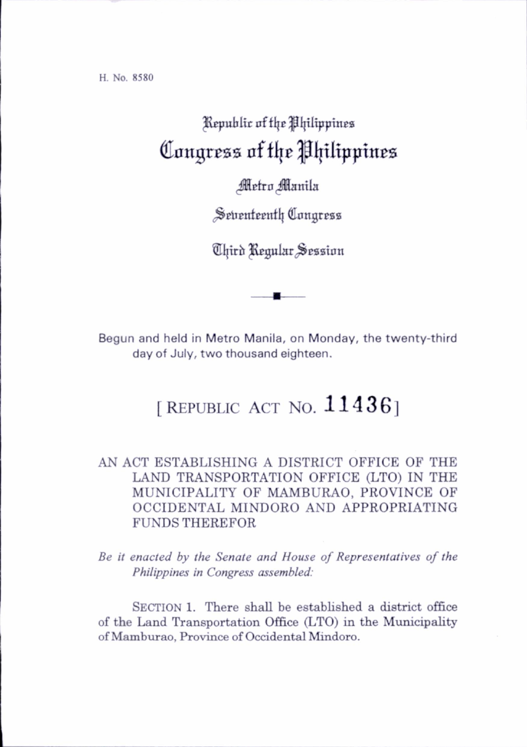H. No. 8580

## Republic of the Philippines Congress of the Philippines

## Metro Manila

Seitenteenth Congress

®Iftrb ^gulitr^^Bssian

Begun and held in Metro Manila, on Monday, the twenty-third day of July, two thousand eighteen.

## [REPUBLIC ACT NO.  $11436$ ]

## AN ACT ESTABLISHING A DISTRICT OFFICE OF THE LAND TRANSPORTATION OFFICE (LTO) IN THE MUNICIPALITY OF MAMBURAO, PROVINCE OF OCCIDENTAL MINDORO AND APPROPRIATING FUNDS THEREFOR

Be it enacted by the Senate and House of Representatives of the Philippines in Congress assembled:

SECTION 1. There shall be established a district office of the Land Transportation Office (LTO) in the Municipahty of Mamburao, Province of Occidental Mindoro.